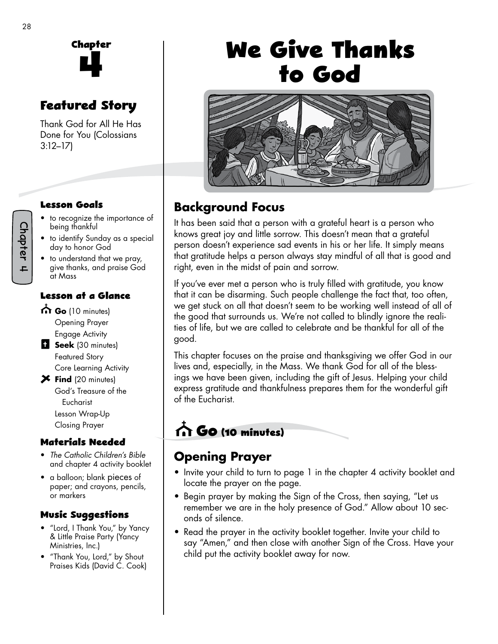

# **Featured Story**

Thank God for All He Has Done for You (Colossians 3:12–17)

#### **Lesson Goals**

- to recognize the importance of being thankful
- to identify Sunday as a special day to honor God
- to understand that we pray, give thanks, and praise God at Mass

#### **Lesson at a Glance**

- Go (10 minutes)
- Opening Prayer Engage Activity **Seek** (30 minutes)
	- Featured Story Core Learning Activity
- **X** Find (20 minutes) God's Treasure of the Eucharist Lesson Wrap-Up Closing Prayer

#### **Materials Needed**

- *The Catholic Children's Bible*  and chapter 4 activity booklet
- a balloon; blank pieces of paper; and crayons, pencils, or markers

#### **Music Suggestions**

- "Lord, I Thank You," by Yancy & Little Praise Party (Yancy Ministries, Inc.)
- "Thank You, Lord," by Shout Praises Kids (David C. Cook)

# **We Give Thanks to God**



# **Background Focus**

It has been said that a person with a grateful heart is a person who knows great joy and little sorrow. This doesn't mean that a grateful person doesn't experience sad events in his or her life. It simply means that gratitude helps a person always stay mindful of all that is good and right, even in the midst of pain and sorrow.

If you've ever met a person who is truly filled with gratitude, you know that it can be disarming. Such people challenge the fact that, too often, we get stuck on all that doesn't seem to be working well instead of all of the good that surrounds us. We're not called to blindly ignore the realities of life, but we are called to celebrate and be thankful for all of the good.

This chapter focuses on the praise and thanksgiving we offer God in our lives and, especially, in the Mass. We thank God for all of the blessings we have been given, including the gift of Jesus. Helping your child express gratitude and thankfulness prepares them for the wonderful gift of the Eucharist.

# **Go (10 minutes)**

# **Opening Prayer**

- Invite your child to turn to page 1 in the chapter 4 activity booklet and locate the prayer on the page.
- Begin prayer by making the Sign of the Cross, then saying, "Let us remember we are in the holy presence of God." Allow about 10 seconds of silence.
- Read the prayer in the activity booklet together. Invite your child to say "Amen," and then close with another Sign of the Cross. Have your child put the activity booklet away for now.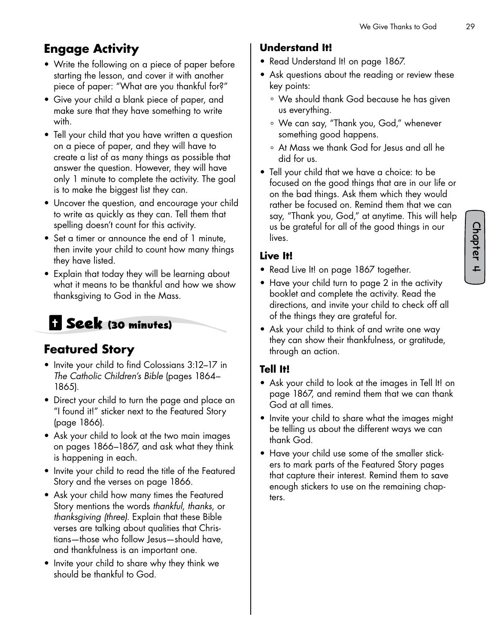# **Engage Activity**

- Write the following on a piece of paper before starting the lesson, and cover it with another piece of paper: "What are you thankful for?"
- Give your child a blank piece of paper, and make sure that they have something to write with.
- Tell your child that you have written a question on a piece of paper, and they will have to create a list of as many things as possible that answer the question. However, they will have only 1 minute to complete the activity. The goal is to make the biggest list they can.
- Uncover the question, and encourage your child to write as quickly as they can. Tell them that spelling doesn't count for this activity.
- Set a timer or announce the end of 1 minute, then invite your child to count how many things they have listed.
- Explain that today they will be learning about what it means to be thankful and how we show thanksgiving to God in the Mass.

# **Seek (30 minutes)**

### **Featured Story**

- Invite your child to find Colossians 3:12–17 in *The Catholic Children's Bible* (pages 1864– 1865).
- Direct your child to turn the page and place an "I found it!" sticker next to the Featured Story (page 1866).
- Ask your child to look at the two main images on pages 1866–1867, and ask what they think is happening in each.
- Invite your child to read the title of the Featured Story and the verses on page 1866.
- Ask your child how many times the Featured Story mentions the words *thankful*, *thanks*, or *thanksgiving (three).* Explain that these Bible verses are talking about qualities that Christians—those who follow Jesus—should have, and thankfulness is an important one.
- Invite your child to share why they think we should be thankful to God.

#### **Understand It!**

- Read Understand It! on page 1867.
- Ask questions about the reading or review these key points:
	- ° We should thank God because he has given us everything.
	- ° We can say, "Thank you, God," whenever something good happens.
	- ° At Mass we thank God for Jesus and all he did for us.
- Tell your child that we have a choice: to be focused on the good things that are in our life or on the bad things. Ask them which they would rather be focused on. Remind them that we can say, "Thank you, God," at anytime. This will help us be grateful for all of the good things in our lives.

#### **Live It!**

- Read Live It! on page 1867 together.
- Have your child turn to page 2 in the activity booklet and complete the activity. Read the directions, and invite your child to check off all of the things they are grateful for.
- Ask your child to think of and write one way they can show their thankfulness, or gratitude, through an action.

#### **Tell It!**

- Ask your child to look at the images in Tell It! on page 1867, and remind them that we can thank God at all times.
- Invite your child to share what the images might be telling us about the different ways we can thank God.
- Have your child use some of the smaller stickers to mark parts of the Featured Story pages that capture their interest. Remind them to save enough stickers to use on the remaining chapters.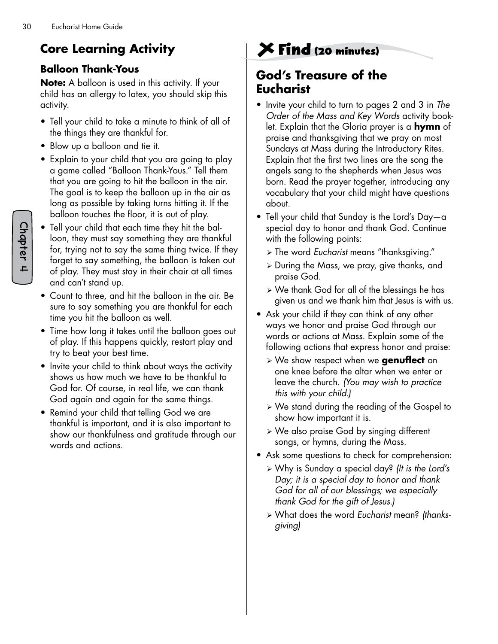# **Core Learning Activity**

#### **Balloon Thank-Yous**

**Note:** A balloon is used in this activity. If your child has an allergy to latex, you should skip this activity.

- Tell your child to take a minute to think of all of the things they are thankful for.
- Blow up a balloon and tie it.
- Explain to your child that you are going to play a game called "Balloon Thank-Yous." Tell them that you are going to hit the balloon in the air. The goal is to keep the balloon up in the air as long as possible by taking turns hitting it. If the balloon touches the floor, it is out of play.
- Tell your child that each time they hit the balloon, they must say something they are thankful for, trying not to say the same thing twice. If they forget to say something, the balloon is taken out of play. They must stay in their chair at all times and can't stand up.
- Count to three, and hit the balloon in the air. Be sure to say something you are thankful for each time you hit the balloon as well.
- Time how long it takes until the balloon goes out of play. If this happens quickly, restart play and try to beat your best time.
- Invite your child to think about ways the activity shows us how much we have to be thankful to God for. Of course, in real life, we can thank God again and again for the same things.
- Remind your child that telling God we are thankful is important, and it is also important to show our thankfulness and gratitude through our words and actions.

# **Find (20 minutes)**

### **God's Treasure of the Eucharist**

- Invite your child to turn to pages 2 and 3 in *The Order of the Mass and Key Words* activity booklet. Explain that the Gloria prayer is a **hymn** of praise and thanksgiving that we pray on most Sundays at Mass during the Introductory Rites. Explain that the first two lines are the song the angels sang to the shepherds when Jesus was born. Read the prayer together, introducing any vocabulary that your child might have questions about.
- Tell your child that Sunday is the Lord's Day—a special day to honor and thank God. Continue with the following points:
	- ¾ The word *Eucharist* means "thanksgiving."
	- $\triangleright$  During the Mass, we pray, give thanks, and praise God.
	- ¾ We thank God for all of the blessings he has given us and we thank him that Jesus is with us.
- Ask your child if they can think of any other ways we honor and praise God through our words or actions at Mass. Explain some of the following actions that express honor and praise:
	- ¾ We show respect when we **genuflect** on one knee before the altar when we enter or leave the church. *(You may wish to practice this with your child.)*
	- ¾ We stand during the reading of the Gospel to show how important it is.
	- ¾ We also praise God by singing different songs, or hymns, during the Mass.
- Ask some questions to check for comprehension:
	- ¾ Why is Sunday a special day? *(It is the Lord's Day; it is a special day to honor and thank God for all of our blessings; we especially thank God for the gift of Jesus.)*
	- ¾ What does the word *Eucharist* mean? *(thanksgiving)*